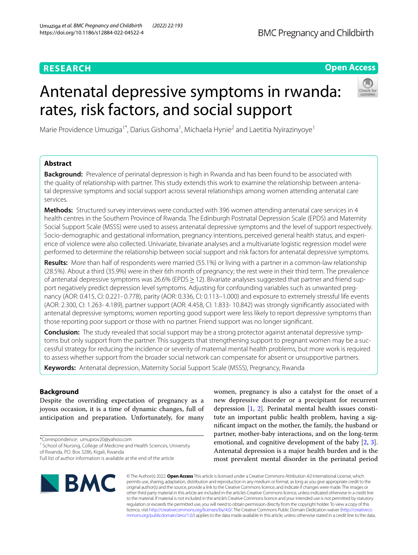# **RESEARCH**

## **Open Access**

# Antenatal depressive symptoms in rwanda: rates, risk factors, and social support



Marie Providence Umuziga<sup>1\*</sup>, Darius Gishoma<sup>1</sup>, Michaela Hynie<sup>2</sup> and Laetitia Nyirazinyoye<sup>1</sup>

## **Abstract**

**Background:** Prevalence of perinatal depression is high in Rwanda and has been found to be associated with the quality of relationship with partner. This study extends this work to examine the relationship between antenatal depressive symptoms and social support across several relationships among women attending antenatal care services.

**Methods:** Structured survey interviews were conducted with 396 women attending antenatal care services in 4 health centres in the Southern Province of Rwanda. The Edinburgh Postnatal Depression Scale (EPDS) and Maternity Social Support Scale (MSSS) were used to assess antenatal depressive symptoms and the level of support respectively. Socio-demographic and gestational information, pregnancy intentions, perceived general health status, and experience of violence were also collected. Univariate, bivariate analyses and a multivariate logistic regression model were performed to determine the relationship between social support and risk factors for antenatal depressive symptoms.

**Results:** More than half of respondents were married (55.1%) or living with a partner in a common-law relationship (28.5%). About a third (35.9%) were in their 6th month of pregnancy; the rest were in their third term. The prevalence of antenatal depressive symptoms was 26.6% (EPDS ≥ 12). Bivariate analyses suggested that partner and friend support negatively predict depression level symptoms. Adjusting for confounding variables such as unwanted pregnancy (AOR: 0.415, CI: 0.221- 0.778), parity (AOR: 0.336, CI: 0.113–1.000) and exposure to extremely stressful life events (AOR: 2.300, CI: 1.263- 4.189), partner support (AOR: 4.458, CI: 1.833- 10.842) was strongly signifcantly associated with antenatal depressive symptoms; women reporting good support were less likely to report depressive symptoms than those reporting poor support or those with no partner. Friend support was no longer signifcant.

**Conclusion:** The study revealed that social support may be a strong protector against antenatal depressive symptoms but only support from the partner. This suggests that strengthening support to pregnant women may be a successful strategy for reducing the incidence or severity of maternal mental health problems, but more work is required to assess whether support from the broader social network can compensate for absent or unsupportive partners.

**Keywords:** Antenatal depression, Maternity Social Support Scale (MSSS), Pregnancy, Rwanda

## **Background**

Despite the overriding expectation of pregnancy as a joyous occasion, it is a time of dynamic changes, full of anticipation and preparation. Unfortunately, for many

\*Correspondence: umuprov20@yahoo.com

Full list of author information is available at the end of the article



women, pregnancy is also a catalyst for the onset of a new depressive disorder or a precipitant for recurrent depression [[1,](#page-7-0) [2\]](#page-7-1). Perinatal mental health issues constitute an important public health problem, having a signifcant impact on the mother, the family, the husband or partner, mother-baby interactions, and on the long-term emotional, and cognitive development of the baby [\[2](#page-7-1), [3](#page-7-2)]. Antenatal depression is a major health burden and is the most prevalent mental disorder in the perinatal period

© The Author(s) 2022. **Open Access** This article is licensed under a Creative Commons Attribution 4.0 International License, which permits use, sharing, adaptation, distribution and reproduction in any medium or format, as long as you give appropriate credit to the original author(s) and the source, provide a link to the Creative Commons licence, and indicate if changes were made. The images or other third party material in this article are included in the article's Creative Commons licence, unless indicated otherwise in a credit line to the material. If material is not included in the article's Creative Commons licence and your intended use is not permitted by statutory regulation or exceeds the permitted use, you will need to obtain permission directly from the copyright holder. To view a copy of this licence, visit [http://creativecommons.org/licenses/by/4.0/.](http://creativecommons.org/licenses/by/4.0/) The Creative Commons Public Domain Dedication waiver ([http://creativeco](http://creativecommons.org/publicdomain/zero/1.0/) [mmons.org/publicdomain/zero/1.0/](http://creativecommons.org/publicdomain/zero/1.0/)) applies to the data made available in this article, unless otherwise stated in a credit line to the data.

<sup>&</sup>lt;sup>1</sup> School of Nursing, College of Medicine and Health Sciences, University of Rwanda, P.O. Box 3286, Kigali, Rwanda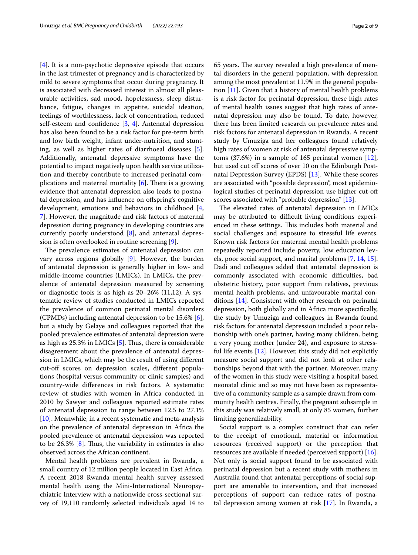[[4\]](#page-8-0). It is a non-psychotic depressive episode that occurs in the last trimester of pregnancy and is characterized by mild to severe symptoms that occur during pregnancy. It is associated with decreased interest in almost all pleasurable activities, sad mood, hopelessness, sleep disturbance, fatigue, changes in appetite, suicidal ideation, feelings of worthlessness, lack of concentration, reduced self-esteem and confdence [\[3](#page-7-2), [4](#page-8-0)]. Antenatal depression has also been found to be a risk factor for pre-term birth and low birth weight, infant under-nutrition, and stunting, as well as higher rates of diarrhoeal diseases [\[5](#page-8-1)]. Additionally, antenatal depressive symptoms have the potential to impact negatively upon health service utilization and thereby contribute to increased perinatal complications and maternal mortality  $[6]$  $[6]$ . There is a growing evidence that antenatal depression also leads to postnatal depression, and has infuence on ofspring's cognitive development, emotions and behaviors in childhood [\[4](#page-8-0), [7\]](#page-8-3). However, the magnitude and risk factors of maternal depression during pregnancy in developing countries are currently poorly understood [[8\]](#page-8-4), and antenatal depression is often overlooked in routine screening [[9\]](#page-8-5).

The prevalence estimates of antenatal depression can vary across regions globally [[9](#page-8-5)]. However, the burden of antenatal depression is generally higher in low- and middle-income countries (LMICs). In LMICs, the prevalence of antenatal depression measured by screening or diagnostic tools is as high as 20–26% (11,12). A systematic review of studies conducted in LMICs reported the prevalence of common perinatal mental disorders (CPMDs) including antenatal depression to be 15.6% [\[6](#page-8-2)], but a study by Gelaye and colleagues reported that the pooled prevalence estimates of antenatal depression were as high as  $25.3\%$  in LMICs  $[5]$  $[5]$ . Thus, there is considerable disagreement about the prevalence of antenatal depression in LMICs, which may be the result of using diferent cut-of scores on depression scales, diferent populations (hospital versus community or clinic samples) and country-wide diferences in risk factors. A systematic review of studies with women in Africa conducted in 2010 by Sawyer and colleagues reported estimate rates of antenatal depression to range between 12.5 to 27.1% [[10\]](#page-8-6). Meanwhile, in a recent systematic and meta-analysis on the prevalence of antenatal depression in Africa the pooled prevalence of antenatal depression was reported to be  $26.3\%$  [[8\]](#page-8-4). Thus, the variability in estimates is also observed across the African continent.

Mental health problems are prevalent in Rwanda, a small country of 12 million people located in East Africa. A recent 2018 Rwanda mental health survey assessed mental health using the Mini-International Neuropsychiatric Interview with a nationwide cross-sectional survey of 19,110 randomly selected individuals aged 14 to 65 years. The survey revealed a high prevalence of mental disorders in the general population, with depression among the most prevalent at 11.9% in the general population [\[11\]](#page-8-7). Given that a history of mental health problems is a risk factor for perinatal depression, these high rates of mental health issues suggest that high rates of antenatal depression may also be found. To date, however, there has been limited research on prevalence rates and risk factors for antenatal depression in Rwanda. A recent study by Umuziga and her colleagues found relatively high rates of women at risk of antenatal depressive symptoms (37.6%) in a sample of 165 perinatal women [\[12](#page-8-8)], but used cut off scores of over 10 on the Edinburgh Postnatal Depression Survey (EPDS) [\[13](#page-8-9)]. While these scores are associated with "possible depression", most epidemiological studies of perinatal depression use higher cut-of scores associated with "probable depression" [[13\]](#page-8-9).

The elevated rates of antenatal depression in LMICs may be attributed to difficult living conditions experienced in these settings. This includes both material and social challenges and exposure to stressful life events. Known risk factors for maternal mental health problems repeatedly reported include poverty, low education levels, poor social support, and marital problems [\[7](#page-8-3), [14,](#page-8-10) [15](#page-8-11)]. Dadi and colleagues added that antenatal depression is commonly associated with economic difficulties, bad obstetric history, poor support from relatives, previous mental health problems, and unfavourable marital conditions [\[14](#page-8-10)]. Consistent with other research on perinatal depression, both globally and in Africa more specifcally, the study by Umuziga and colleagues in Rwanda found risk factors for antenatal depression included a poor relationship with one's partner, having many children, being a very young mother (under 24), and exposure to stressful life events [\[12](#page-8-8)]. However, this study did not explicitly measure social support and did not look at other relationships beyond that with the partner. Moreover, many of the women in this study were visiting a hospital based neonatal clinic and so may not have been as representative of a community sample as a sample drawn from community health centres. Finally, the pregnant subsample in this study was relatively small, at only 85 women, further limiting generalizability.

Social support is a complex construct that can refer to the receipt of emotional, material or information resources (received support) or the perception that resources are available if needed (perceived support) [\[16](#page-8-12)]. Not only is social support found to be associated with perinatal depression but a recent study with mothers in Australia found that antenatal perceptions of social support are amenable to intervention, and that increased perceptions of support can reduce rates of postnatal depression among women at risk [\[17](#page-8-13)]. In Rwanda, a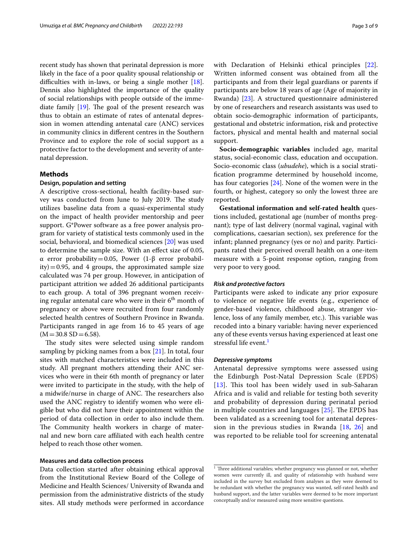recent study has shown that perinatal depression is more likely in the face of a poor quality spousal relationship or difficulties with in-laws, or being a single mother  $[18]$  $[18]$ . Dennis also highlighted the importance of the quality of social relationships with people outside of the immediate family  $[19]$  $[19]$ . The goal of the present research was thus to obtain an estimate of rates of antenatal depression in women attending antenatal care (ANC) services in community clinics in diferent centres in the Southern Province and to explore the role of social support as a protective factor to the development and severity of antenatal depression.

## **Methods**

### **Design, population and setting**

A descriptive cross-sectional, health facility-based survey was conducted from June to July 2019. The study utilizes baseline data from a quasi-experimental study on the impact of health provider mentorship and peer support. G\*Power software as a free power analysis program for variety of statistical tests commonly used in the social, behavioral, and biomedical sciences [[20](#page-8-16)] was used to determine the sample size. With an efect size of 0.05, α error probability=0.05, Power (1-β error probabil $ity$ ) = 0.95, and 4 groups, the approximated sample size calculated was 74 per group. However, in anticipation of participant attrition we added 26 additional participants to each group. A total of 396 pregnant women receiving regular antenatal care who were in their  $6<sup>th</sup>$  month of pregnancy or above were recruited from four randomly selected health centres of Southern Province in Rwanda. Participants ranged in age from 16 to 45 years of age  $(M=30.8$  SD  $=6.58$ ).

The study sites were selected using simple random sampling by picking names from a box [[21\]](#page-8-17). In total, four sites with matched characteristics were included in this study. All pregnant mothers attending their ANC services who were in their 6th month of pregnancy or later were invited to participate in the study, with the help of a midwife/nurse in charge of ANC. The researchers also used the ANC registry to identify women who were eligible but who did not have their appointment within the period of data collection in order to also include them. The Community health workers in charge of maternal and new born care afliated with each health centre helped to reach those other women.

## **Measures and data collection process**

Data collection started after obtaining ethical approval from the Institutional Review Board of the College of Medicine and Health Sciences/ University of Rwanda and permission from the administrative districts of the study sites. All study methods were performed in accordance with Declaration of Helsinki ethical principles [\[22](#page-8-18)]. Written informed consent was obtained from all the participants and from their legal guardians or parents if participants are below 18 years of age (Age of majority in Rwanda) [[23\]](#page-8-19). A structured questionnaire administered by one of researchers and research assistants was used to obtain socio-demographic information of participants, gestational and obstetric information, risk and protective factors, physical and mental health and maternal social support.

**Socio-demographic variables** included age, marital status, social-economic class, education and occupation. Socio-economic class (*ubudehe*), which is a social stratifcation programme determined by household income, has four categories [[24](#page-8-20)]. None of the women were in the fourth, or highest, category so only the lowest three are reported.

**Gestational information and self-rated health** questions included, gestational age (number of months pregnant); type of last delivery (normal vaginal, vaginal with complications, caesarian section), sex preference for the infant; planned pregnancy (yes or no) and parity. Participants rated their perceived overall health on a one-item measure with a 5-point response option, ranging from very poor to very good.

#### *Risk and protective factors*

Participants were asked to indicate any prior exposure to violence or negative life events (e.g., experience of gender-based violence, childhood abuse, stranger violence, loss of any family member, etc.). This variable was recoded into a binary variable: having never experienced any of these events versus having experienced at least one stressful life event.<sup>1</sup>

## *Depressive symptoms*

Antenatal depressive symptoms were assessed using the Edinburgh Post-Natal Depression Scale (EPDS) [ $13$ ]. This tool has been widely used in sub-Saharan Africa and is valid and reliable for testing both severity and probability of depression during perinatal period in multiple countries and languages  $[25]$  $[25]$ . The EPDS has been validated as a screening tool for antenatal depression in the previous studies in Rwanda [[18,](#page-8-14) [26](#page-8-22)] and was reported to be reliable tool for screening antenatal

<span id="page-2-0"></span> $1$  Three additional variables; whether pregnancy was planned or not, whether women were currently ill, and quality of relationship with husband were included in the survey but excluded from analyses as they were deemed to be redundant with whether the pregnancy was wanted, self-rated health and husband support, and the latter variables were deemed to be more important conceptually and/or measured using more sensitive questions.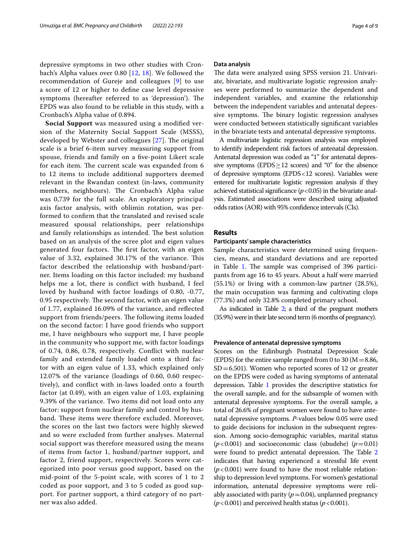depressive symptoms in two other studies with Cronbach's Alpha values over 0.80 [[12](#page-8-8), [18\]](#page-8-14). We followed the recommendation of Gureje and colleagues [[9\]](#page-8-5) to use a score of 12 or higher to defne case level depressive symptoms (hereafter referred to as 'depression'). The EPDS was also found to be reliable in this study, with a Cronbach's Alpha value of 0.894.

**Social Support** was measured using a modifed version of the Maternity Social Support Scale (MSSS), developed by Webster and colleagues [[27](#page-8-23)]. The original scale is a brief 6-item survey measuring support from spouse, friends and family on a fve-point Likert scale for each item. The current scale was expanded from 6 to 12 items to include additional supporters deemed relevant in the Rwandan context (in-laws, community members, neighbours). The Cronbach's Alpha value was 0,739 for the full scale. An exploratory principal axis factor analysis, with oblimin rotation, was performed to confrm that the translated and revised scale measured spousal relationships, peer relationships and family relationships as intended. The best solution based on an analysis of the scree plot and eigen values generated four factors. The first factor, with an eigen value of 3.32, explained 30.17% of the variance. This factor described the relationship with husband/partner. Items loading on this factor included: my husband helps me a lot, there is confict with husband, I feel loved by husband with factor loadings of 0.80, -0.77, 0.95 respectively. The second factor, with an eigen value of 1.77, explained 16.09% of the variance, and refected support from friends/peers. The following items loaded on the second factor: I have good friends who support me, I have neighbours who support me, I have people in the community who support me, with factor loadings of 0.74, 0.86, 0.78, respectively. Confict with nuclear family and extended family loaded onto a third factor with an eigen value of 1.33, which explained only 12.07% of the variance (loadings of 0.60, 0.60 respectively), and confict with in-laws loaded onto a fourth factor (at 0.49), with an eigen value of 1.03, explaining 9.39% of the variance. Two items did not load onto any factor: support from nuclear family and control by husband. These items were therefore excluded. Moreover, the scores on the last two factors were highly skewed and so were excluded from further analyses. Maternal social support was therefore measured using the means of items from factor 1, husband/partner support, and factor 2, friend support, respectively. Scores were categorized into poor versus good support, based on the mid-point of the 5-point scale, with scores of 1 to 2 coded as poor support, and 3 to 5 coded as good support. For partner support, a third category of no partner was also added.

## **Data analysis**

The data were analyzed using SPSS version 21. Univariate, bivariate, and multivariate logistic regression analyses were performed to summarize the dependent and independent variables, and examine the relationship between the independent variables and antenatal depressive symptoms. The binary logistic regression analyses were conducted between statistically signifcant variables in the bivariate tests and antenatal depressive symptoms.

A multivariate logistic regression analysis was employed to identify independent risk factors of antenatal depression. Antenatal depression was coded as "1" for antenatal depressive symptoms (EPDS $\geq$ 12 scores) and "0" for the absence of depressive symptoms (EPDS<12 scores). Variables were entered for multivariate logistic regression analysis if they achieved statistical significance  $(p<0.05)$  in the bivariate analysis. Estimated associations were described using adjusted odds ratios (AOR) with 95% confdence intervals (CIs).

## **Results**

### **Participants' sample characteristics**

Sample characteristics were determined using frequencies, means, and standard deviations and are reported in Table [1.](#page-4-0) The sample was comprised of 396 participants from age 16 to 45 years. About a half were married (55.1%) or living with a common-law partner (28.5%), the main occupation was farming and cultivating clops (77.3%) and only 32.8% completed primary school.

As indicated in Table [2;](#page-5-0) a third of the pregnant mothers (35.9%) were in their late second term (6 months of pregnancy).

## **Prevalence of antenatal depressive symptoms**

Scores on the Edinburgh Postnatal Depression Scale (EPDS) for the entire sample ranged from 0 to 30 ( $M=8.86$ ,  $SD = 6.501$ ). Women who reported scores of 12 or greater on the EPDS were coded as having symptoms of antenatal depression. Table [1](#page-4-0) provides the descriptive statistics for the overall sample, and for the subsample of women with antenatal depressive symptoms. For the overall sample, a total of 26.6% of pregnant women were found to have antenatal depressive symptoms. *P*-values below 0.05 were used to guide decisions for inclusion in the subsequent regression. Among socio-demographic variables, marital status  $(p<0.001)$  and socioeconomic class (ubudehe)  $(p=0.01)$ were found to predict antenatal depression. The Table [2](#page-5-0) indicates that having experienced a stressful life event  $(p<0.001)$  were found to have the most reliable relationship to depression level symptoms. For women's gestational information, antenatal depressive symptoms were reliably associated with parity  $(p=0.04)$ , unplanned pregnancy  $(p<0.001)$  and perceived health status  $(p<0.001)$ .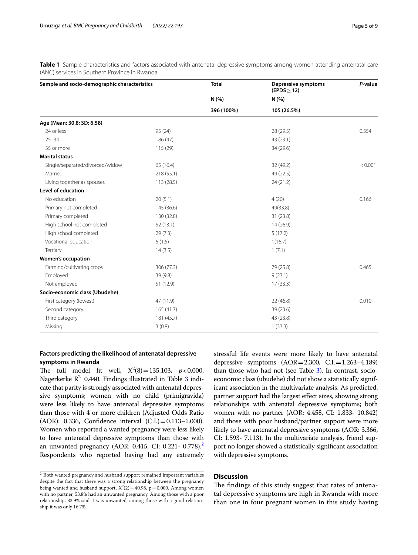<span id="page-4-0"></span>**Table 1** Sample characteristics and factors associated with antenatal depressive symptoms among women attending antenatal care (ANC) services in Southern Province in Rwanda

| Sample and socio-demographic characteristics |            | <b>Total</b> | <b>Depressive symptoms</b><br>$(EPDS \geq 12)$ | P-value |
|----------------------------------------------|------------|--------------|------------------------------------------------|---------|
|                                              |            | N(%          | N(% )                                          |         |
|                                              |            | 396 (100%)   | 105 (26.5%)                                    |         |
| Age (Mean: 30.8; SD: 6.58)                   |            |              |                                                |         |
| 24 or less                                   | 95(24)     |              | 28 (29.5)                                      | 0.354   |
| $25 - 34$                                    | 186 (47)   |              | 43 (23.1)                                      |         |
| 35 or more                                   | 115 (29)   |              | 34 (29.6)                                      |         |
| <b>Marital status</b>                        |            |              |                                                |         |
| Single/separated/divorced/widow              | 65 (16.4)  |              | 32 (49.2)                                      | < 0.001 |
| Married                                      | 218 (55.1) |              | 49 (22.5)                                      |         |
| Living together as spouses                   | 113 (28.5) |              | 24 (21.2)                                      |         |
| <b>Level of education</b>                    |            |              |                                                |         |
| No education                                 | 20(5.1)    |              | 4(20)                                          | 0.166   |
| Primary not completed                        | 145 (36.6) |              | 49(33.8)                                       |         |
| Primary completed                            | 130 (32.8) |              | 31 (23.8)                                      |         |
| High school not completed                    | 52(13.1)   |              | 14(26.9)                                       |         |
| High school completed                        | 29(7.3)    |              | 5(17.2)                                        |         |
| Vocational education                         | 6(1.5)     |              | 1(16.7)                                        |         |
| Tertiary                                     | 14(3.5)    |              | 1(7.1)                                         |         |
| <b>Women's occupation</b>                    |            |              |                                                |         |
| Farming/cultivating crops                    | 306 (77.3) |              | 79 (25.8)                                      | 0.465   |
| Employed                                     | 39 (9.8)   |              | 9(23.1)                                        |         |
| Not employed                                 | 51 (12.9)  |              | 17(33.3)                                       |         |
| Socio-economic class (Ubudehe)               |            |              |                                                |         |
| First category (lowest)                      | 47 (11.9)  |              | 22(46.8)                                       | 0.010   |
| Second category                              | 165(41.7)  |              | 39 (23.6)                                      |         |
| Third category                               | 181 (45.7) |              | 43 (23.8)                                      |         |
| Missing                                      | 3(0.8)     |              | 1(33.3)                                        |         |

## **Factors predicting the likelihood of antenatal depressive symptoms in Rwanda**

The full model fit well,  $X^2(8) = 135.103$ ,  $p < 0.000$ , Nagerkerke  $R^2$  = 0.440. Findings illustrated in Table [3](#page-6-0) indicate that parity is strongly associated with antenatal depressive symptoms; women with no child (primigravida) were less likely to have antenatal depressive symptoms than those with 4 or more children (Adjusted Odds Ratio (AOR): 0.336, Confdence interval (C.I.)=0.113–1.000). Women who reported a wanted pregnancy were less likely to have antenatal depressive symptoms than those with an unwanted pregnancy (AOR: 0.415, CI: 0[.2](#page-4-1)21 - 0.778).<sup>2</sup> Respondents who reported having had any extremely

stressful life events were more likely to have antenatal depressive symptoms  $(AOR = 2.300, C.I. = 1.263-4.189)$ than those who had not (see Table [3\)](#page-6-0). In contrast, socioeconomic class (ubudehe) did not show a statistically significant association in the multivariate analysis. As predicted, partner support had the largest efect sizes, showing strong relationships with antenatal depressive symptoms; both women with no partner (AOR: 4.458, CI: 1.833- 10.842) and those with poor husband/partner support were more likely to have antenatal depressive symptoms (AOR: 3.366, CI: 1.593- 7.113). In the multivariate analysis, friend support no longer showed a statistically signifcant association with depressive symptoms.

## **Discussion**

The findings of this study suggest that rates of antenatal depressive symptoms are high in Rwanda with more than one in four pregnant women in this study having

<span id="page-4-1"></span> $\overline{2}$  Both wanted pregnancy and husband support remained important variables despite the fact that there was a strong relationship between the pregnancy being wanted and husband support,  $X^2(2) = 40.98$ ,  $p = 0.000$ . Among women with no partner, 53.8% had an unwanted pregnancy. Among those with a poor relationship, 33.9% said it was unwanted; among those with a good relationship it was only 16.7%.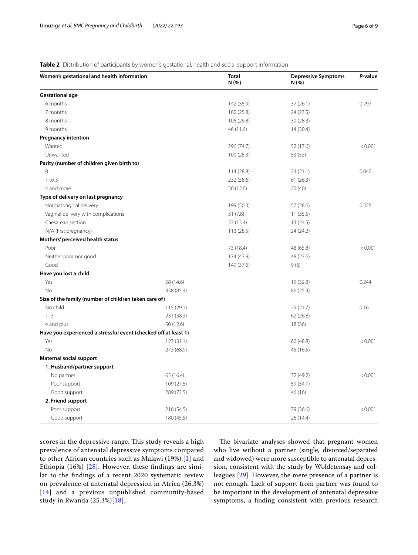<span id="page-5-0"></span>**Table 2** Distribution of participants by women's gestational, health and social support information

| Women's gestational and health information                      |            | <b>Total</b><br>N (%) | <b>Depressive Symptoms</b><br>N (%) | P-value |  |
|-----------------------------------------------------------------|------------|-----------------------|-------------------------------------|---------|--|
| <b>Gestational age</b>                                          |            |                       |                                     |         |  |
| 6 months                                                        |            | 142 (35.9)            | 37(26.1)                            | 0.797   |  |
| 7 months                                                        |            | 102 (25.8)            | 24 (23.5)                           |         |  |
| 8 months                                                        |            | 106(26.8)             | 30(28.3)                            |         |  |
| 9 months                                                        |            | 46 (11.6)             | 14(30.4)                            |         |  |
| <b>Pregnancy intention</b>                                      |            |                       |                                     |         |  |
| Wanted                                                          |            | 296 (74.7)            | 52 (17.6)                           | < 0.001 |  |
| Unwanted                                                        |            | 100(25.3)             | 53 (53)                             |         |  |
| Parity (number of children given birth to)                      |            |                       |                                     |         |  |
| $\Omega$                                                        |            | 114 (28.8)            | 24(21.1)                            | 0.040   |  |
| $1$ to $3$                                                      |            | 232 (58.6)            | 61(26.3)                            |         |  |
| 4 and more                                                      |            | 50 (12.6)             | 20 (40)                             |         |  |
| Type of delivery on last pregnancy                              |            |                       |                                     |         |  |
| Normal vaginal delivery                                         |            | 199 (50.3)            | 57 (28.6)                           | 0.325   |  |
| Vaginal delivery with complications                             |            | 31(7.8)               | 11(35.5)                            |         |  |
| Caesarean section                                               |            | 53 (13.4)             | 13 (24.5)                           |         |  |
| N/A (first pregnancy)                                           |            | 113 (28.5)            | 24 (24.2)                           |         |  |
| Mothers' perceived health status                                |            |                       |                                     |         |  |
| Poor                                                            |            | 73 (18.4)             | 48 (65.8)                           | < 0.001 |  |
| Neither poor nor good                                           |            | 174 (43.9)            | 48 (27.6)                           |         |  |
| Good                                                            |            | 149 (37.6)            | 9(6)                                |         |  |
| Have you lost a child                                           |            |                       |                                     |         |  |
| Yes                                                             | 58 (14.6)  |                       | 19 (32.8)                           | 0.244   |  |
| <b>No</b>                                                       | 338 (85.4) |                       | 86 (25.4)                           |         |  |
| Size of the family (number of children taken care of)           |            |                       |                                     |         |  |
| No child                                                        | 115(29.1)  |                       | 25(21.7)                            | 0.16    |  |
| $1 - 3$                                                         | 231 (58.3) |                       | 62(26.8)                            |         |  |
| 4 and plus                                                      | 50 (12.6)  |                       | 18 (36)                             |         |  |
| Have you experienced a stressful event (checked off at least 1) |            |                       |                                     |         |  |
| Yes                                                             | 123(31.1)  |                       | 60 (48.8)                           | < 0.001 |  |
| <b>No</b>                                                       | 273 (68.9) |                       | 45 (16.5)                           |         |  |
| <b>Maternal social support</b>                                  |            |                       |                                     |         |  |
| 1. Husband/partner support                                      |            |                       |                                     |         |  |
| No partner                                                      | 65 (16.4)  |                       | 32 (49.2)                           | < 0.001 |  |
| Poor support                                                    | 109(27.5)  |                       | 59 (54.1)                           |         |  |
| Good support                                                    | 289 (72.5) |                       | 46 (16)                             |         |  |
| 2. Friend support                                               |            |                       |                                     |         |  |
| Poor support                                                    | 216 (54.5) |                       | 79 (36.6)                           | < 0.001 |  |
| Good support                                                    | 180 (45.5) |                       | 26 (14.4)                           |         |  |

scores in the depressive range. This study reveals a high prevalence of antenatal depressive symptoms compared to other African countries such as Malawi (19%) [\[1](#page-7-0)] and Ethiopia (16%) [\[28\]](#page-8-24). However, these fndings are similar to the fndings of a recent 2020 systematic review on prevalence of antenatal depression in Africa (26.3%) [[14](#page-8-10)] and a previous unpublished community-based study in Rwanda (25.3%)[[18](#page-8-14)].

The bivariate analyses showed that pregnant women who live without a partner (single, divorced/separated and widowed) were more susceptible to antenatal depression, consistent with the study by Woldetensay and colleagues [[29\]](#page-8-25). However, the mere presence of a partner is not enough. Lack of support from partner was found to be important in the development of antenatal depressive symptoms, a fnding consistent with previous research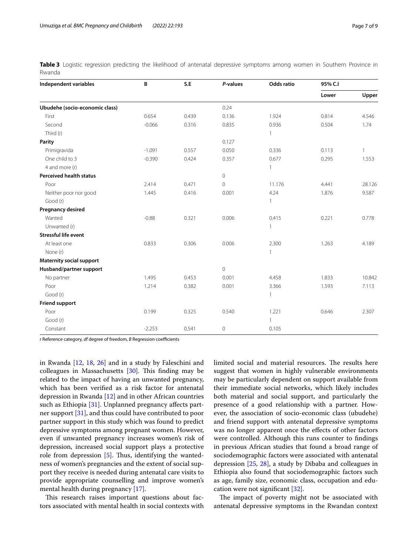<span id="page-6-0"></span>

|        |  | Table 3 Logistic regression predicting the likelihood of antenatal depressive symptoms among women in Southern Province in |  |  |  |  |  |  |
|--------|--|----------------------------------------------------------------------------------------------------------------------------|--|--|--|--|--|--|
| Rwanda |  |                                                                                                                            |  |  |  |  |  |  |

| Independent variables           | B        | S.E   | P-values       | Odds ratio   | 95% C.I |              |  |
|---------------------------------|----------|-------|----------------|--------------|---------|--------------|--|
|                                 |          |       |                |              | Lower   | Upper        |  |
| Ubudehe (socio-economic class)  |          |       | 0.24           |              |         |              |  |
| First                           | 0.654    | 0.439 | 0.136          | 1.924        | 0.814   | 4.546        |  |
| Second                          | $-0.066$ | 0.316 | 0.835          | 0.936        | 0.504   | 1.74         |  |
| Third (r)                       |          |       |                | $\mathbf{1}$ |         |              |  |
| Parity                          |          |       | 0.127          |              |         |              |  |
| Primigravida                    | $-1.091$ | 0.557 | 0.050          | 0.336        | 0.113   | $\mathbf{1}$ |  |
| One child to 3                  | $-0.390$ | 0.424 | 0.357          | 0.677        | 0.295   | 1.553        |  |
| 4 and more (r)                  |          |       |                | $\mathbf{1}$ |         |              |  |
| <b>Perceived health status</b>  |          |       | $\circ$        |              |         |              |  |
| Poor                            | 2.414    | 0.471 | $\circ$        | 11.176       | 4.441   | 28.126       |  |
| Neither poor nor good           | 1.445    | 0.416 | 0.001          | 4.24         | 1.876   | 9.587        |  |
| Good (r)                        |          |       |                | $\mathbf{1}$ |         |              |  |
| Pregnancy desired               |          |       |                |              |         |              |  |
| Wanted                          | $-0.88$  | 0.321 | 0.006          | 0.415        | 0.221   | 0.778        |  |
| Unwanted (r)                    |          |       |                | $\mathbf{1}$ |         |              |  |
| <b>Stressful life event</b>     |          |       |                |              |         |              |  |
| At least one                    | 0.833    | 0.306 | 0.006          | 2.300        | 1.263   | 4.189        |  |
| None (r)                        |          |       |                | $\mathbf{1}$ |         |              |  |
| <b>Maternity social support</b> |          |       |                |              |         |              |  |
| Husband/partner support         |          |       | $\overline{0}$ |              |         |              |  |
| No partner                      | 1.495    | 0.453 | 0.001          | 4.458        | 1.833   | 10.842       |  |
| Poor                            | 1.214    | 0.382 | 0.001          | 3.366        | 1.593   | 7.113        |  |
| Good (r)                        |          |       |                | 1            |         |              |  |
| <b>Friend support</b>           |          |       |                |              |         |              |  |
| Poor                            | 0.199    | 0.325 | 0.540          | 1.221        | 0.646   | 2.307        |  |
| Good (r)                        |          |       |                | $\mathbf{1}$ |         |              |  |
| Constant                        | $-2.253$ | 0.541 | $\mathbf 0$    | 0.105        |         |              |  |

*r* Reference category, *df* degree of freedom, *B* Regression coefficients

in Rwanda [\[12](#page-8-8), [18,](#page-8-14) [26](#page-8-22)] and in a study by Faleschini and colleagues in Massachusetts  $[30]$  $[30]$  $[30]$ . This finding may be related to the impact of having an unwanted pregnancy, which has been verifed as a risk factor for antenatal depression in Rwanda [[12](#page-8-8)] and in other African countries such as Ethiopia [\[31](#page-8-27)]. Unplanned pregnancy affects partner support [[31\]](#page-8-27), and thus could have contributed to poor partner support in this study which was found to predict depressive symptoms among pregnant women. However, even if unwanted pregnancy increases women's risk of depression, increased social support plays a protective role from depression [\[5](#page-8-1)]. Thus, identifying the wantedness of women's pregnancies and the extent of social support they receive is needed during antenatal care visits to provide appropriate counselling and improve women's mental health during pregnancy [\[17\]](#page-8-13).

This research raises important questions about factors associated with mental health in social contexts with limited social and material resources. The results here suggest that women in highly vulnerable environments may be particularly dependent on support available from their immediate social networks, which likely includes both material and social support, and particularly the presence of a good relationship with a partner. However, the association of socio-economic class (ubudehe) and friend support with antenatal depressive symptoms was no longer apparent once the efects of other factors were controlled. Although this runs counter to fndings in previous African studies that found a broad range of sociodemographic factors were associated with antenatal depression  $[25, 28]$  $[25, 28]$  $[25, 28]$  $[25, 28]$ , a study by Dibaba and colleagues in Ethiopia also found that sociodemographic factors such as age, family size, economic class, occupation and education were not signifcant [\[32](#page-8-28)].

The impact of poverty might not be associated with antenatal depressive symptoms in the Rwandan context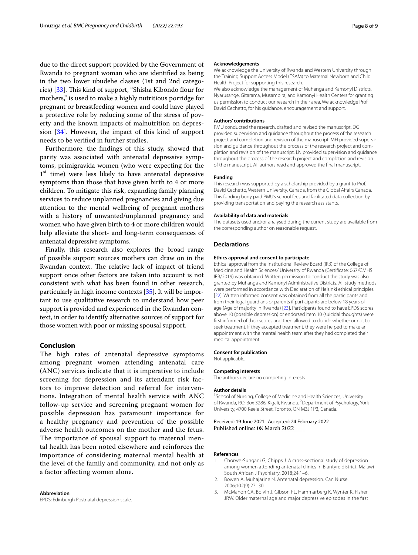due to the direct support provided by the Government of Rwanda to pregnant woman who are identifed as being in the two lower ubudehe classes (1st and 2nd catego-ries) [\[33](#page-8-29)]. This kind of support, "Shisha Kibondo flour for mothers," is used to make a highly nutritious porridge for pregnant or breastfeeding women and could have played a protective role by reducing some of the stress of poverty and the known impacts of malnutrition on depression [\[34\]](#page-8-30). However, the impact of this kind of support needs to be verifed in further studies.

Furthermore, the fndings of this study, showed that parity was associated with antenatal depressive symptoms, primigravida women (who were expecting for the  $1<sup>st</sup>$  time) were less likely to have antenatal depressive symptoms than those that have given birth to 4 or more children. To mitigate this risk, expanding family planning services to reduce unplanned pregnancies and giving due attention to the mental wellbeing of pregnant mothers with a history of unwanted/unplanned pregnancy and women who have given birth to 4 or more children would help alleviate the short- and long-term consequences of antenatal depressive symptoms.

Finally, this research also explores the broad range of possible support sources mothers can draw on in the Rwandan context. The relative lack of impact of friend support once other factors are taken into account is not consistent with what has been found in other research, particularly in high income contexts [[35](#page-8-31)]. It will be important to use qualitative research to understand how peer support is provided and experienced in the Rwandan context, in order to identify alternative sources of support for those women with poor or missing spousal support.

## **Conclusion**

The high rates of antenatal depressive symptoms among pregnant women attending antenatal care (ANC) services indicate that it is imperative to include screening for depression and its attendant risk factors to improve detection and referral for interventions. Integration of mental health service with ANC follow-up service and screening pregnant women for possible depression has paramount importance for a healthy pregnancy and prevention of the possible adverse health outcomes on the mother and the fetus. The importance of spousal support to maternal mental health has been noted elsewhere and reinforces the importance of considering maternal mental health at the level of the family and community, and not only as a factor affecting women alone.

#### **Abbreviation**

EPDS: Edinburgh Postnatal depression scale.

#### **Acknowledgements**

We acknowledge the University of Rwanda and Western University through the Training Support Access Model (TSAM) to Maternal Newborn and Child Health Project for supporting this research.

We also acknowledge the management of Muhanga and Kamonyi Districts, Nyarusange, Gitarama, Musambira, and Kamonyi Health Centers for granting us permission to conduct our research in their area. We acknowledge Prof. David Cechetto, for his guidance, encouragement and support.

#### **Authors' contributions**

PMU conducted the research, drafted and revised the manuscript. DG provided supervision and guidance throughout the process of the research project and completion and revision of the manuscript. MH provided supervision and guidance throughout the process of the research project and completion and revision of the manuscript. LN provided supervision and guidance throughout the process of the research project and completion and revision of the manuscript. All authors read and approved the fnal manuscript.

#### **Funding**

This research was supported by a scholarship provided by a grant to Prof. David Cechetto, Western University, Canada, from the Global Affairs Canada. This funding body paid PMU's school fees and facilitated data collection by providing transportation and paying the research assistants.

#### **Availability of data and materials**

The datasets used and/or analysed during the current study are available from the corresponding author on reasonable request.

## **Declarations**

#### **Ethics approval and consent to participate**

Ethical approval from the Institutional Review Board (IRB) of the College of Medicine and Health Sciences/ University of Rwanda (Certifcate: 067/CMHS IRB/2019) was obtained. Written permission to conduct the study was also granted by Muhanga and Kamonyi Administrative Districts. All study methods were performed in accordance with Declaration of Helsinki ethical principles [[22](#page-8-18)]. Written informed consent was obtained from all the participants and from their legal guardians or parents if participants are below 18 years of age (Age of majority in Rwanda) [\[23](#page-8-19)]. Participants found to have EPDS scores above 10 (possible depression) or endorsed item 10 (suicidal thoughts) were frst informed of their scores and then allowed to decide whether or not to seek treatment. If they accepted treatment, they were helped to make an appointment with the mental health team after they had completed their medical appointment.

#### **Consent for publication**

Not applicable.

## **Competing interests**

The authors declare no competing interests.

#### **Author details**

<sup>1</sup> School of Nursing, College of Medicine and Health Sciences, University of Rwanda, P.O. Box 3286, Kigali, Rwanda. <sup>2</sup> Department of Psychology, York University, 4700 Keele Street, Toronto, ON M3J 1P3, Canada.

Received: 19 June 2021 Accepted: 24 February 2022 Published online: 08 March 2022

#### **References**

- <span id="page-7-0"></span>1. Chorwe-Sungani G, Chipps J. A cross-sectional study of depression among women attending antenatal clinics in Blantyre district. Malawi South African J Psychiatry. 2018;24:1–6.
- <span id="page-7-1"></span>2. Bowen A, Muhajarine N. Antenatal depression. Can Nurse. 2006;102(9):27–30.
- <span id="page-7-2"></span>3. McMahon CA, Boivin J, Gibson FL, Hammarberg K, Wynter K, Fisher JRW. Older maternal age and major depressive episodes in the frst